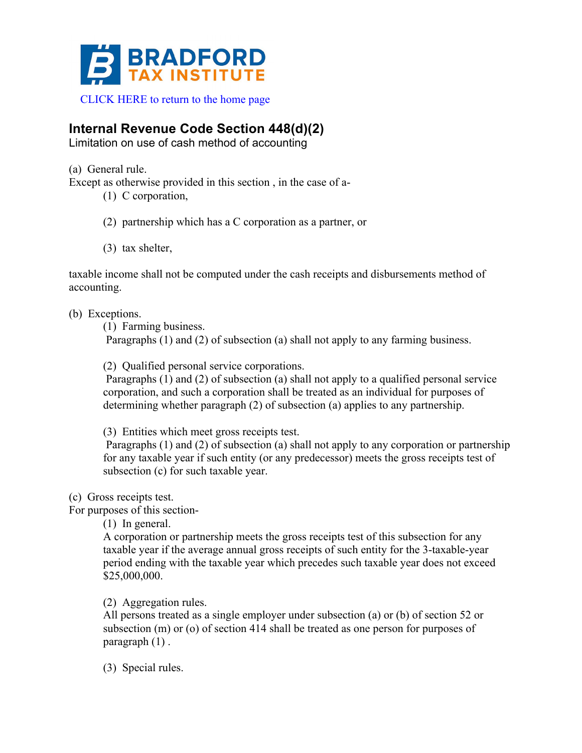

## **Internal Revenue Code Section 448(d)(2)**

Limitation on use of cash method of accounting

(a) General rule.

Except as otherwise provided in this section , in the case of a-

(1) C corporation,

- (2) partnership which has a C corporation as a partner, or
- (3) tax shelter,

taxable income shall not be computed under the cash receipts and disbursements method of accounting.

(b) Exceptions.

(1) Farming business.

Paragraphs (1) and (2) of subsection (a) shall not apply to any farming business.

(2) Qualified personal service corporations.

Paragraphs (1) and (2) of subsection (a) shall not apply to a qualified personal service corporation, and such a corporation shall be treated as an individual for purposes of determining whether paragraph (2) of subsection (a) applies to any partnership.

(3) Entities which meet gross receipts test.

Paragraphs (1) and (2) of subsection (a) shall not apply to any corporation or partnership for any taxable year if such entity (or any predecessor) meets the gross receipts test of subsection (c) for such taxable year.

(c) Gross receipts test.

For purposes of this section-

(1) In general.

A corporation or partnership meets the gross receipts test of this subsection for any taxable year if the average annual gross receipts of such entity for the 3-taxable-year period ending with the taxable year which precedes such taxable year does not exceed \$25,000,000.

(2) Aggregation rules.

All persons treated as a single employer under subsection (a) or (b) of section 52 or subsection (m) or (o) of section 414 shall be treated as one person for purposes of paragraph (1) .

(3) Special rules.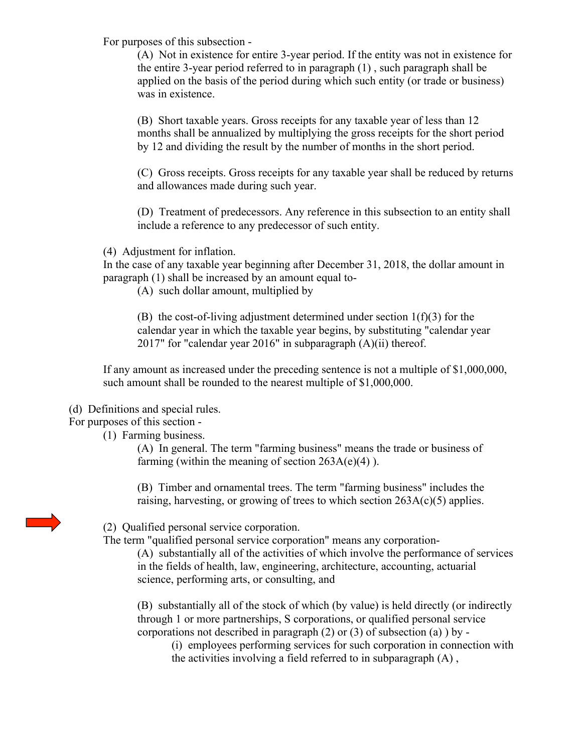For purposes of this subsection -

(A) Not in existence for entire 3-year period. If the entity was not in existence for the entire 3-year period referred to in paragraph (1) , such paragraph shall be applied on the basis of the period during which such entity (or trade or business) was in existence.

(B) Short taxable years. Gross receipts for any taxable year of less than 12 months shall be annualized by multiplying the gross receipts for the short period by 12 and dividing the result by the number of months in the short period.

(C) Gross receipts. Gross receipts for any taxable year shall be reduced by returns and allowances made during such year.

(D) Treatment of predecessors. Any reference in this subsection to an entity shall include a reference to any predecessor of such entity.

(4) Adjustment for inflation.

In the case of any taxable year beginning after December 31, 2018, the dollar amount in paragraph (1) shall be increased by an amount equal to-

(A) such dollar amount, multiplied by

(B) the cost-of-living adjustment determined under section  $1(f)(3)$  for the calendar year in which the taxable year begins, by substituting "calendar year 2017" for "calendar year 2016" in subparagraph (A)(ii) thereof.

If any amount as increased under the preceding sentence is not a multiple of \$1,000,000, such amount shall be rounded to the nearest multiple of \$1,000,000.

(d) Definitions and special rules.

For purposes of this section -

(1) Farming business.

(A) In general. The term "farming business" means the trade or business of farming (within the meaning of section  $263A(e)(4)$ ).

(B) Timber and ornamental trees. The term "farming business" includes the raising, harvesting, or growing of trees to which section 263A(c)(5) applies.

(2) Qualified personal service corporation.

The term "qualified personal service corporation" means any corporation-

(A) substantially all of the activities of which involve the performance of services in the fields of health, law, engineering, architecture, accounting, actuarial science, performing arts, or consulting, and

(B) substantially all of the stock of which (by value) is held directly (or indirectly through 1 or more partnerships, S corporations, or qualified personal service corporations not described in paragraph  $(2)$  or  $(3)$  of subsection  $(a)$ ) by -

(i) employees performing services for such corporation in connection with the activities involving a field referred to in subparagraph (A) ,

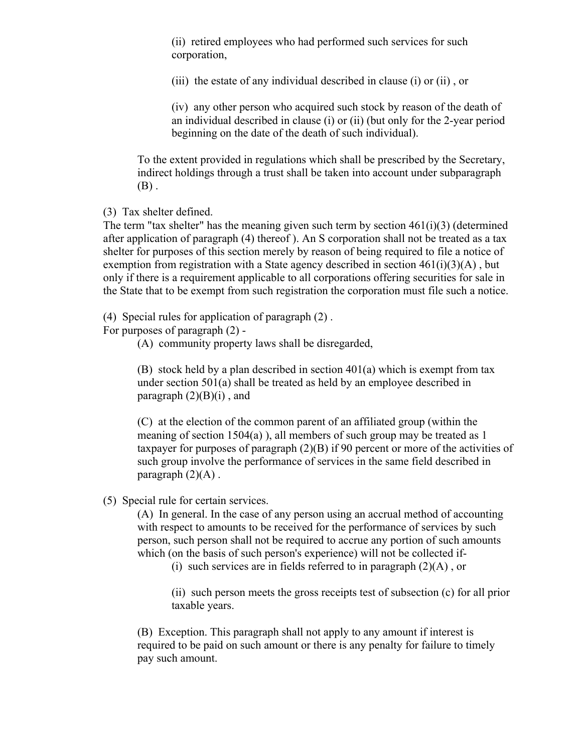(ii) retired employees who had performed such services for such corporation,

(iii) the estate of any individual described in clause (i) or (ii) , or

(iv) any other person who acquired such stock by reason of the death of an individual described in clause (i) or (ii) (but only for the 2-year period beginning on the date of the death of such individual).

To the extent provided in regulations which shall be prescribed by the Secretary, indirect holdings through a trust shall be taken into account under subparagraph  $(B)$ .

(3) Tax shelter defined.

The term "tax shelter" has the meaning given such term by section 461(i)(3) (determined after application of paragraph (4) thereof ). An S corporation shall not be treated as a tax shelter for purposes of this section merely by reason of being required to file a notice of exemption from registration with a State agency described in section  $461(i)(3)(A)$ , but only if there is a requirement applicable to all corporations offering securities for sale in the State that to be exempt from such registration the corporation must file such a notice.

(4) Special rules for application of paragraph (2) .

For purposes of paragraph (2) -

(A) community property laws shall be disregarded,

(B) stock held by a plan described in section 401(a) which is exempt from tax under section 501(a) shall be treated as held by an employee described in paragraph  $(2)(B)(i)$ , and

(C) at the election of the common parent of an affiliated group (within the meaning of section 1504(a) ), all members of such group may be treated as 1 taxpayer for purposes of paragraph (2)(B) if 90 percent or more of the activities of such group involve the performance of services in the same field described in paragraph  $(2)(A)$ .

## (5) Special rule for certain services.

(A) In general. In the case of any person using an accrual method of accounting with respect to amounts to be received for the performance of services by such person, such person shall not be required to accrue any portion of such amounts which (on the basis of such person's experience) will not be collected if-

(i) such services are in fields referred to in paragraph  $(2)(A)$ , or

(ii) such person meets the gross receipts test of subsection (c) for all prior taxable years.

(B) Exception. This paragraph shall not apply to any amount if interest is required to be paid on such amount or there is any penalty for failure to timely pay such amount.